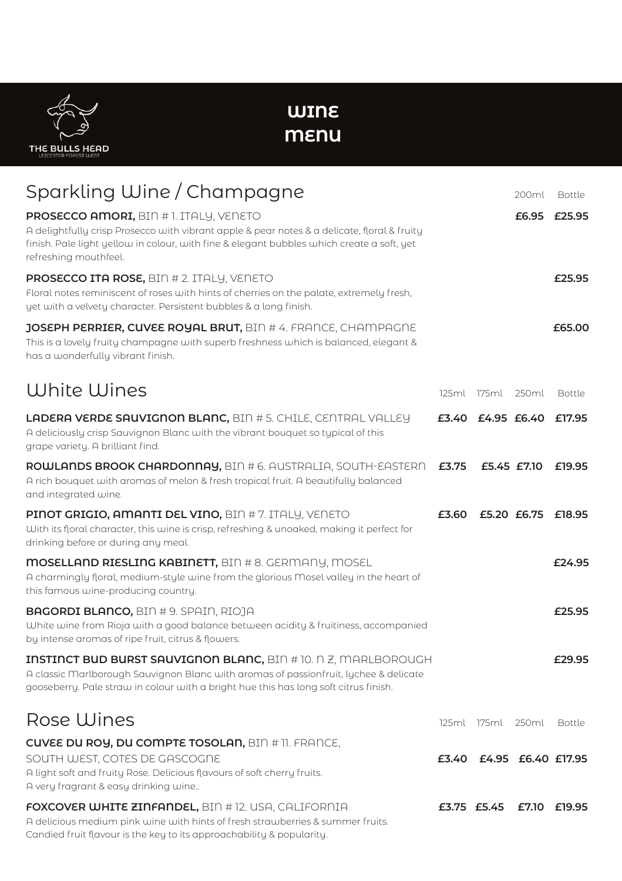**THE BULLS HEAD** 

**WINE MENU**

| Sparkling Wine / Champagne                                                                                                                                                                                                                                        |       |                          | 200ml              | Bottle       |
|-------------------------------------------------------------------------------------------------------------------------------------------------------------------------------------------------------------------------------------------------------------------|-------|--------------------------|--------------------|--------------|
| <b>PROSECCO AMORI, BIN #1. ITALY, VENETO</b><br>A delightfully crisp Prosecco with vibrant apple & pear notes & a delicate, floral & fruity<br>finish. Pale light yellow in colour, with fine & elegant bubbles which create a soft, yet<br>refreshing mouthfeel. |       |                          |                    | £6.95 £25.95 |
| <b>PROSECCO ITA ROSE, BIN # 2. ITALY, VENETO</b><br>Floral notes reminiscent of roses with hints of cherries on the palate, extremely fresh,<br>yet with a velvety character. Persistent bubbles & a long finish.                                                 |       |                          |                    | £25.95       |
| JOSEPH PERRIER, CUVEE ROYAL BRUT, BIN # 4. FRANCE, CHAMPAGNE<br>This is a lovely fruity champagne with superb freshness which is balanced, elegant &<br>has a wonderfully vibrant finish.                                                                         |       |                          |                    | £65.00       |
| White Wines                                                                                                                                                                                                                                                       |       | 125ml 175ml 250ml        |                    | Bottle       |
| <b>LADERA VERDE SAUVIGNON BLANC, BIN #5. CHILE, CENTRAL VALLEY</b><br>A deliciously crisp Sauvignon Blanc with the vibrant bouquet so typical of this<br>grape variety. A brilliant find.                                                                         |       | £3.40 £4.95 £6.40 £17.95 |                    |              |
| <b>ROWLANDS BROOK CHARDONNAY, BIN #6. AUSTRALIA, SOUTH-EASTERN</b><br>A rich bouquet with aromas of melon & fresh tropical fruit. A beautifully balanced<br>and integrated wine.                                                                                  | £3.75 |                          | £5.45 £7.10        | £19.95       |
| <b>PINOT GRIGIO, AMANTI DEL VINO, BIN # 7. ITALY, VENETO</b><br>With its floral character, this wine is crisp, refreshing & unoaked, making it perfect for<br>drinking before or during any meal.                                                                 | £3.60 |                          | £5.20 £6.75 £18.95 |              |
| <b>MOSELLAND RIESLING KABINETT, BIN # 8. GERMANY, MOSEL</b><br>A charmingly floral, medium-style wine from the glorious Mosel valley in the heart of<br>this famous wine-producing country.                                                                       |       |                          |                    | £24.95       |
| <b>BAGORDI BLANCO, BIN #9. SPAIN, RIOJA</b><br>White wine from Rioja with a good balance between acidity & fruitiness, accompanied<br>by intense aromas of ripe fruit, citrus & flowers.                                                                          |       |                          |                    | £25.95       |
| <b>INSTINCT BUD BURST SAUVIGNON BLANC, BIN # 10. N Z, MARLBOROUGH</b><br>A classic Marlborough Sauvignon Blanc with aromas of passionfruit, lychee & delicate<br>gooseberry. Pale straw in colour with a bright hue this has long soft citrus finish.             |       |                          |                    | £29.95       |
| <b>Rose Wines</b>                                                                                                                                                                                                                                                 |       | 125ml 175ml 250ml        |                    | Bottle       |
| <b>CUVEE DU ROY, DU COMPTE TOSOLAN, BIN # 11. FRANCE,</b><br>SOUTH WEST, COTES DE GASCOGNE<br>A light soft and fruity Rose. Delicious flavours of soft cherry fruits.<br>A very fragrant & easy drinking wine                                                     | £3.40 |                          | £4.95 £6.40 £17.95 |              |
| <b>FOXCOVER WHITE ZINFANDEL, BIN # 12. USA, CALIFORNIA</b><br>A delicious medium pink wine with hints of fresh strawberries & summer fruits.<br>Candied fruit flavour is the key to its approachability & popularity.                                             |       | £3.75 £5.45 £7.10 £19.95 |                    |              |